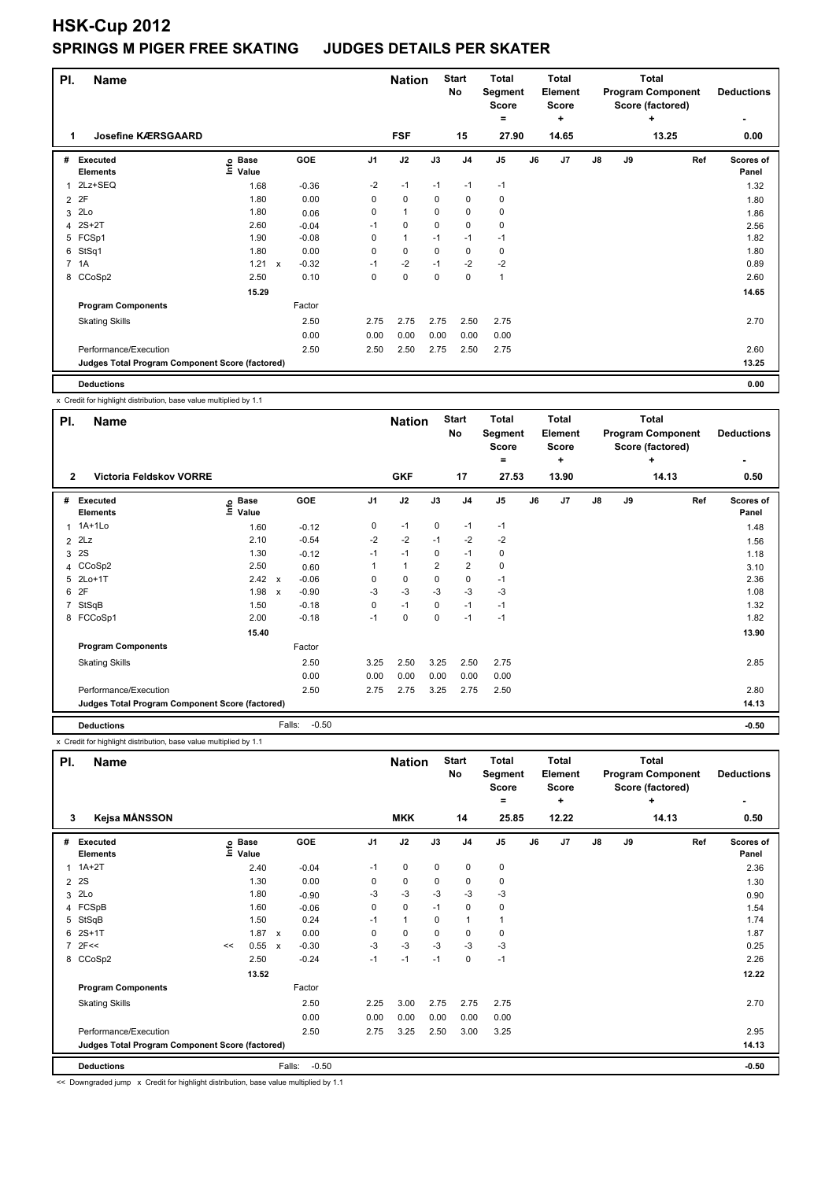| PI.            | <b>Name</b>                                     |                            |              |            |                | <b>Nation</b> |          | <b>Start</b><br>No | <b>Total</b><br>Segment<br>Score<br>۰ |    | <b>Total</b><br>Element<br><b>Score</b><br>٠ |               |    | <b>Total</b><br><b>Program Component</b><br>Score (factored)<br>٠ | <b>Deductions</b>         |
|----------------|-------------------------------------------------|----------------------------|--------------|------------|----------------|---------------|----------|--------------------|---------------------------------------|----|----------------------------------------------|---------------|----|-------------------------------------------------------------------|---------------------------|
| 1              | <b>Josefine KÆRSGAARD</b>                       |                            |              |            |                | <b>FSF</b>    |          | 15                 | 27.90                                 |    | 14.65                                        |               |    | 13.25                                                             | 0.00                      |
| #              | Executed<br><b>Elements</b>                     | e Base<br>⊆ Value<br>Value |              | <b>GOE</b> | J <sub>1</sub> | J2            | J3       | J <sub>4</sub>     | J <sub>5</sub>                        | J6 | J <sub>7</sub>                               | $\mathsf{J}8$ | J9 | Ref                                                               | <b>Scores of</b><br>Panel |
| 1              | 2Lz+SEQ                                         | 1.68                       |              | $-0.36$    | $-2$           | $-1$          | $-1$     | $-1$               | $-1$                                  |    |                                              |               |    |                                                                   | 1.32                      |
| $\overline{2}$ | 2F                                              | 1.80                       |              | 0.00       | 0              | $\mathbf 0$   | 0        | 0                  | 0                                     |    |                                              |               |    |                                                                   | 1.80                      |
| 3              | 2Lo                                             | 1.80                       |              | 0.06       | 0              | $\mathbf{1}$  | $\Omega$ | 0                  | 0                                     |    |                                              |               |    |                                                                   | 1.86                      |
| 4              | 2S+2T                                           | 2.60                       |              | $-0.04$    | $-1$           | 0             | 0        | 0                  | 0                                     |    |                                              |               |    |                                                                   | 2.56                      |
| 5              | FCSp1                                           | 1.90                       |              | $-0.08$    | 0              | $\mathbf{1}$  | $-1$     | $-1$               | $-1$                                  |    |                                              |               |    |                                                                   | 1.82                      |
| 6              | StSq1                                           | 1.80                       |              | 0.00       | 0              | $\mathbf 0$   | 0        | $\mathbf 0$        | 0                                     |    |                                              |               |    |                                                                   | 1.80                      |
|                | 7 1A                                            | 1.21                       | $\mathsf{x}$ | $-0.32$    | $-1$           | $-2$          | $-1$     | $-2$               | $-2$                                  |    |                                              |               |    |                                                                   | 0.89                      |
|                | 8 CCoSp2                                        | 2.50                       |              | 0.10       | 0              | 0             | 0        | 0                  | $\mathbf{1}$                          |    |                                              |               |    |                                                                   | 2.60                      |
|                |                                                 | 15.29                      |              |            |                |               |          |                    |                                       |    |                                              |               |    |                                                                   | 14.65                     |
|                | <b>Program Components</b>                       |                            |              | Factor     |                |               |          |                    |                                       |    |                                              |               |    |                                                                   |                           |
|                | <b>Skating Skills</b>                           |                            |              | 2.50       | 2.75           | 2.75          | 2.75     | 2.50               | 2.75                                  |    |                                              |               |    |                                                                   | 2.70                      |
|                |                                                 |                            |              | 0.00       | 0.00           | 0.00          | 0.00     | 0.00               | 0.00                                  |    |                                              |               |    |                                                                   |                           |
|                | Performance/Execution                           |                            |              | 2.50       | 2.50           | 2.50          | 2.75     | 2.50               | 2.75                                  |    |                                              |               |    |                                                                   | 2.60                      |
|                | Judges Total Program Component Score (factored) |                            |              |            |                |               |          |                    |                                       |    |                                              |               |    |                                                                   | 13.25                     |
|                | <b>Deductions</b>                               |                            |              |            |                |               |          |                    |                                       |    |                                              |               |    |                                                                   | 0.00                      |

x Credit for highlight distribution, base value multiplied by 1.1

| PI.          | <b>Name</b>                                     |                            |                         |                | <b>Nation</b> |                | <b>Start</b><br>No | <b>Total</b><br>Segment<br><b>Score</b><br>$\equiv$ |    | <b>Total</b><br>Element<br><b>Score</b><br>٠ |               |    | <b>Total</b><br><b>Program Component</b><br>Score (factored)<br>٠ | <b>Deductions</b>  |
|--------------|-------------------------------------------------|----------------------------|-------------------------|----------------|---------------|----------------|--------------------|-----------------------------------------------------|----|----------------------------------------------|---------------|----|-------------------------------------------------------------------|--------------------|
| $\mathbf{2}$ | <b>Victoria Feldskov VORRE</b>                  |                            |                         |                | <b>GKF</b>    |                | 17                 | 27.53                                               |    | 13.90                                        |               |    | 14.13                                                             | 0.50               |
| #            | Executed<br><b>Elements</b>                     | e Base<br>E Value<br>Value | GOE                     | J <sub>1</sub> | J2            | J3             | J <sub>4</sub>     | J <sub>5</sub>                                      | J6 | J7                                           | $\mathsf{J}8$ | J9 | Ref                                                               | Scores of<br>Panel |
| 1            | 1A+1Lo                                          | 1.60                       | $-0.12$                 | 0              | $-1$          | 0              | $-1$               | $-1$                                                |    |                                              |               |    |                                                                   | 1.48               |
|              | $2$ $2Lz$                                       | 2.10                       | $-0.54$                 | $-2$           | $-2$          | $-1$           | $-2$               | $-2$                                                |    |                                              |               |    |                                                                   | 1.56               |
|              | 3 2S                                            | 1.30                       | $-0.12$                 | $-1$           | $-1$          | 0              | $-1$               | 0                                                   |    |                                              |               |    |                                                                   | 1.18               |
|              | 4 CCoSp2                                        | 2.50                       | 0.60                    |                | 1             | $\overline{2}$ | $\overline{2}$     | 0                                                   |    |                                              |               |    |                                                                   | 3.10               |
|              | 5 2Lo+1T                                        | 2.42 x                     | $-0.06$                 | 0              | 0             | 0              | 0                  | $-1$                                                |    |                                              |               |    |                                                                   | 2.36               |
|              | 6 2F                                            | 1.98                       | $-0.90$<br>$\mathsf{x}$ | $-3$           | $-3$          | $-3$           | $-3$               | $-3$                                                |    |                                              |               |    |                                                                   | 1.08               |
|              | 7 StSqB                                         | 1.50                       | $-0.18$                 | 0              | $-1$          | 0              | $-1$               | $-1$                                                |    |                                              |               |    |                                                                   | 1.32               |
|              | 8 FCCoSp1                                       | 2.00                       | $-0.18$                 | $-1$           | $\Omega$      | $\Omega$       | $-1$               | $-1$                                                |    |                                              |               |    |                                                                   | 1.82               |
|              |                                                 | 15.40                      |                         |                |               |                |                    |                                                     |    |                                              |               |    |                                                                   | 13.90              |
|              | <b>Program Components</b>                       |                            | Factor                  |                |               |                |                    |                                                     |    |                                              |               |    |                                                                   |                    |
|              | <b>Skating Skills</b>                           |                            | 2.50                    | 3.25           | 2.50          | 3.25           | 2.50               | 2.75                                                |    |                                              |               |    |                                                                   | 2.85               |
|              |                                                 |                            | 0.00                    | 0.00           | 0.00          | 0.00           | 0.00               | 0.00                                                |    |                                              |               |    |                                                                   |                    |
|              | Performance/Execution                           |                            | 2.50                    | 2.75           | 2.75          | 3.25           | 2.75               | 2.50                                                |    |                                              |               |    |                                                                   | 2.80               |
|              | Judges Total Program Component Score (factored) |                            |                         |                |               |                |                    |                                                     |    |                                              |               |    |                                                                   | 14.13              |
|              | <b>Deductions</b>                               |                            | Falls:                  | $-0.50$        |               |                |                    |                                                     |    |                                              |               |    |                                                                   | $-0.50$            |

x Credit for highlight distribution, base value multiplied by 1.1

| <b>Start</b><br><b>Total</b><br><b>Total</b><br><b>Total</b><br>PI.<br><b>Nation</b><br><b>Name</b><br>No<br><b>Program Component</b><br>Segment<br><b>Element</b><br><b>Score</b><br>Score<br>Score (factored)<br>٠<br>٠<br>$\equiv$ | <b>Deductions</b><br>٠    |
|---------------------------------------------------------------------------------------------------------------------------------------------------------------------------------------------------------------------------------------|---------------------------|
| Kejsa MÅNSSON<br><b>MKK</b><br>12.22<br>14<br>25.85<br>14.13<br>3                                                                                                                                                                     | 0.50                      |
| GOE<br>J2<br>J7<br>J <sub>1</sub><br>J3<br>J <sub>4</sub><br>J <sub>5</sub><br>J6<br>J8<br>J9<br>Executed<br><b>Base</b><br>#<br>١nfo<br>Value<br><b>Elements</b>                                                                     | Ref<br>Scores of<br>Panel |
| $\mathbf 0$<br>$1A+2T$<br>0<br>0<br>0<br>$-1$<br>2.40<br>$-0.04$<br>1                                                                                                                                                                 | 2.36                      |
| 2S<br>0.00<br>1.30<br>0<br>0<br>0<br>0<br>0<br>$\overline{2}$                                                                                                                                                                         | 1.30                      |
| $-3$<br>2Lo<br>$-3$<br>$-3$<br>$-3$<br>1.80<br>-3<br>3<br>$-0.90$                                                                                                                                                                     | 0.90                      |
| FCSpB<br>$\mathbf 0$<br>$\mathbf 0$<br>1.60<br>0<br>$-1$<br>0<br>$-0.06$<br>4                                                                                                                                                         | 1.54                      |
| StSqB<br>1.50<br>0.24<br>$\mathbf{1}$<br>5<br>0<br>$\mathbf{1}$<br>$-1$                                                                                                                                                               | 1.74                      |
| $2S+1T$<br>1.87<br>0.00<br>0<br>6<br>0<br>0<br>0<br>0<br>$\mathsf{x}$                                                                                                                                                                 | 1.87                      |
| $-3$<br>2F<<<br>0.55<br>$-3$<br>$-3$<br>$-3$<br>$-3$<br>$-0.30$<br>7<br>$\boldsymbol{\mathsf{x}}$<br><<                                                                                                                               | 0.25                      |
| 2.50<br>$-0.24$<br>$-1$<br>$-1$<br>$\mathbf 0$<br>$-1$<br>8 CCoSp2<br>$-1$                                                                                                                                                            | 2.26                      |
| 13.52                                                                                                                                                                                                                                 | 12.22                     |
| <b>Program Components</b><br>Factor                                                                                                                                                                                                   |                           |
| 3.00<br>2.75<br>2.75<br><b>Skating Skills</b><br>2.50<br>2.25<br>2.75                                                                                                                                                                 | 2.70                      |
| 0.00<br>0.00<br>0.00<br>0.00<br>0.00<br>0.00                                                                                                                                                                                          |                           |
| Performance/Execution<br>3.25<br>2.50<br>2.75<br>2.50<br>3.00<br>3.25                                                                                                                                                                 | 2.95                      |
| Judges Total Program Component Score (factored)                                                                                                                                                                                       | 14.13                     |
| $-0.50$<br><b>Deductions</b><br>Falls:                                                                                                                                                                                                | $-0.50$                   |

<< Downgraded jump x Credit for highlight distribution, base value multiplied by 1.1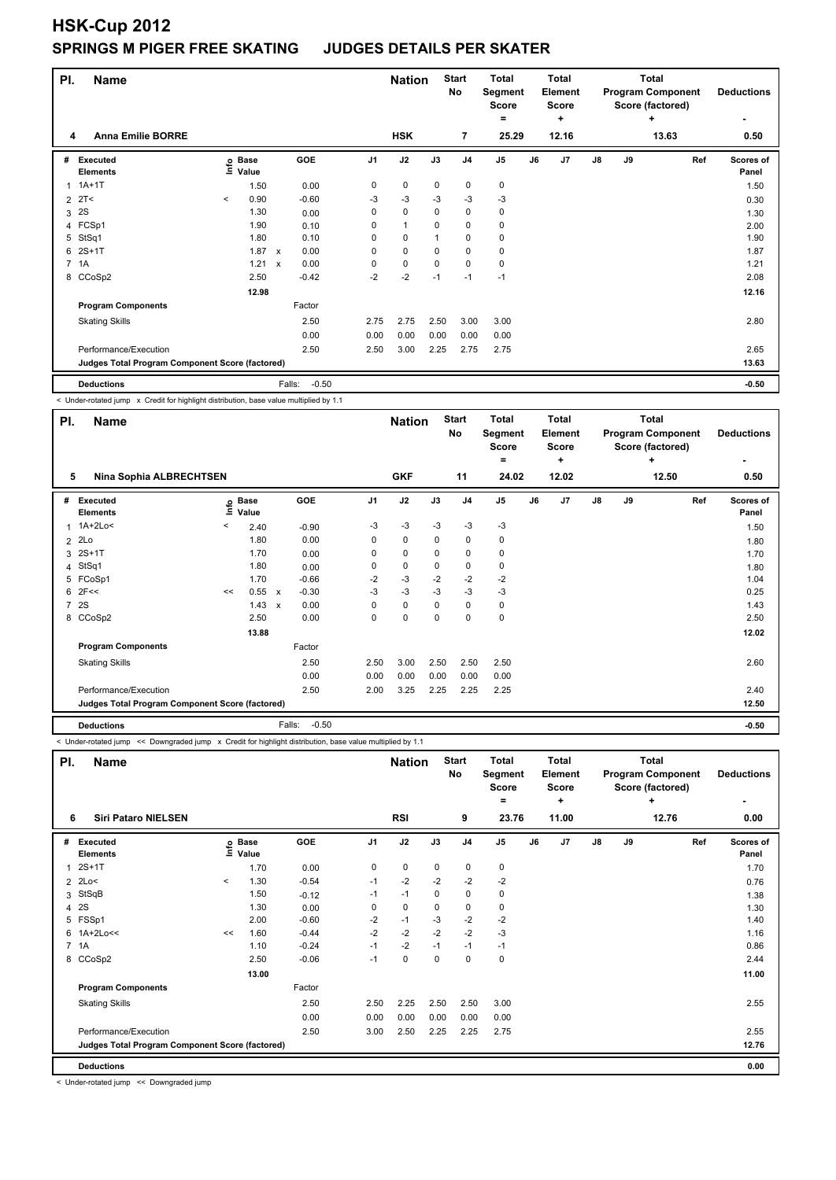| PI.            | Name                                            |         |                            |                           |                   |                | <b>Nation</b>  |             | <b>Start</b><br>No | <b>Total</b><br>Segment<br><b>Score</b><br>٠ |    | <b>Total</b><br><b>Element</b><br><b>Score</b><br>÷ |               |    | <b>Total</b><br><b>Program Component</b><br>Score (factored)<br>٠ | <b>Deductions</b>  |
|----------------|-------------------------------------------------|---------|----------------------------|---------------------------|-------------------|----------------|----------------|-------------|--------------------|----------------------------------------------|----|-----------------------------------------------------|---------------|----|-------------------------------------------------------------------|--------------------|
| 4              | <b>Anna Emilie BORRE</b>                        |         |                            |                           |                   |                | <b>HSK</b>     |             | $\overline{7}$     | 25.29                                        |    | 12.16                                               |               |    | 13.63                                                             | 0.50               |
| #              | Executed<br><b>Elements</b>                     |         | e Base<br>E Value<br>Value |                           | <b>GOE</b>        | J <sub>1</sub> | J2             | J3          | J <sub>4</sub>     | J <sub>5</sub>                               | J6 | J <sub>7</sub>                                      | $\mathsf{J}8$ | J9 | Ref                                                               | Scores of<br>Panel |
| 1              | $1A+1T$                                         |         | 1.50                       |                           | 0.00              | 0              | $\mathbf 0$    | 0           | 0                  | 0                                            |    |                                                     |               |    |                                                                   | 1.50               |
| $\overline{2}$ | 2T<                                             | $\prec$ | 0.90                       |                           | $-0.60$           | -3             | $-3$           | $-3$        | -3                 | $-3$                                         |    |                                                     |               |    |                                                                   | 0.30               |
| 3              | 2S                                              |         | 1.30                       |                           | 0.00              | 0              | $\mathbf 0$    | 0           | $\mathbf 0$        | 0                                            |    |                                                     |               |    |                                                                   | 1.30               |
|                | 4 FCSp1                                         |         | 1.90                       |                           | 0.10              | 0              | $\overline{1}$ | $\Omega$    | 0                  | 0                                            |    |                                                     |               |    |                                                                   | 2.00               |
| 5              | StSq1                                           |         | 1.80                       |                           | 0.10              | 0              | 0              |             | $\mathbf 0$        | 0                                            |    |                                                     |               |    |                                                                   | 1.90               |
| 6              | $2S+1T$                                         |         | 1.87                       | $\boldsymbol{\mathsf{x}}$ | 0.00              | 0              | 0              | 0           | 0                  | 0                                            |    |                                                     |               |    |                                                                   | 1.87               |
|                | 7 1A                                            |         | 1.21                       | $\boldsymbol{\mathsf{x}}$ | 0.00              | 0              | $\pmb{0}$      | $\mathbf 0$ | $\mathbf 0$        | $\pmb{0}$                                    |    |                                                     |               |    |                                                                   | 1.21               |
|                | 8 CCoSp2                                        |         | 2.50                       |                           | $-0.42$           | $-2$           | $-2$           | $-1$        | $-1$               | $-1$                                         |    |                                                     |               |    |                                                                   | 2.08               |
|                |                                                 |         | 12.98                      |                           |                   |                |                |             |                    |                                              |    |                                                     |               |    |                                                                   | 12.16              |
|                | <b>Program Components</b>                       |         |                            |                           | Factor            |                |                |             |                    |                                              |    |                                                     |               |    |                                                                   |                    |
|                | <b>Skating Skills</b>                           |         |                            |                           | 2.50              | 2.75           | 2.75           | 2.50        | 3.00               | 3.00                                         |    |                                                     |               |    |                                                                   | 2.80               |
|                |                                                 |         |                            |                           | 0.00              | 0.00           | 0.00           | 0.00        | 0.00               | 0.00                                         |    |                                                     |               |    |                                                                   |                    |
|                | Performance/Execution                           |         |                            |                           | 2.50              | 2.50           | 3.00           | 2.25        | 2.75               | 2.75                                         |    |                                                     |               |    |                                                                   | 2.65               |
|                | Judges Total Program Component Score (factored) |         |                            |                           |                   |                |                |             |                    |                                              |    |                                                     |               |    |                                                                   | 13.63              |
|                | <b>Deductions</b>                               |         |                            |                           | $-0.50$<br>Falls: |                |                |             |                    |                                              |    |                                                     |               |    |                                                                   | $-0.50$            |

< Under-rotated jump x Credit for highlight distribution, base value multiplied by 1.1

| PI. | <b>Name</b>                                     |    |                      |              |         |                | <b>Nation</b> |             | <b>Start</b><br>No | <b>Total</b><br>Segment<br><b>Score</b><br>$=$ |    | <b>Total</b><br><b>Element</b><br><b>Score</b><br>٠ |               |    | <b>Total</b><br><b>Program Component</b><br>Score (factored)<br>٠ | <b>Deductions</b>         |
|-----|-------------------------------------------------|----|----------------------|--------------|---------|----------------|---------------|-------------|--------------------|------------------------------------------------|----|-----------------------------------------------------|---------------|----|-------------------------------------------------------------------|---------------------------|
|     | Nina Sophia ALBRECHTSEN<br>5                    |    |                      |              |         |                | <b>GKF</b>    |             | 11                 | 24.02                                          |    | 12.02                                               |               |    | 12.50                                                             | 0.50                      |
| #   | <b>Executed</b><br><b>Elements</b>              | e  | <b>Base</b><br>Value |              | GOE     | J <sub>1</sub> | J2            | J3          | J <sub>4</sub>     | J <sub>5</sub>                                 | J6 | J7                                                  | $\mathsf{J}8$ | J9 | Ref                                                               | <b>Scores of</b><br>Panel |
|     | 1 1A+2Lo<                                       | <  | 2.40                 |              | $-0.90$ | $-3$           | $-3$          | $-3$        | $-3$               | $-3$                                           |    |                                                     |               |    |                                                                   | 1.50                      |
|     | $2$ $2Lo$                                       |    | 1.80                 |              | 0.00    | 0              | 0             | $\mathbf 0$ | $\mathbf 0$        | 0                                              |    |                                                     |               |    |                                                                   | 1.80                      |
|     | 3 2S+1T                                         |    | 1.70                 |              | 0.00    | 0              | 0             | 0           | 0                  | 0                                              |    |                                                     |               |    |                                                                   | 1.70                      |
|     | 4 StSq1                                         |    | 1.80                 |              | 0.00    | 0              | 0             | 0           | 0                  | 0                                              |    |                                                     |               |    |                                                                   | 1.80                      |
|     | 5 FCoSp1                                        |    | 1.70                 |              | $-0.66$ | $-2$           | $-3$          | $-2$        | $-2$               | $-2$                                           |    |                                                     |               |    |                                                                   | 1.04                      |
|     | $6$ 2F<<                                        | << | 0.55                 | $\mathsf{x}$ | $-0.30$ | $-3$           | $-3$          | $-3$        | $-3$               | $-3$                                           |    |                                                     |               |    |                                                                   | 0.25                      |
|     | 7 2S                                            |    | 1.43                 | $\mathbf{x}$ | 0.00    | 0              | 0             | 0           | 0                  | 0                                              |    |                                                     |               |    |                                                                   | 1.43                      |
|     | 8 CCoSp2                                        |    | 2.50                 |              | 0.00    | 0              | 0             | $\Omega$    | 0                  | 0                                              |    |                                                     |               |    |                                                                   | 2.50                      |
|     |                                                 |    | 13.88                |              |         |                |               |             |                    |                                                |    |                                                     |               |    |                                                                   | 12.02                     |
|     | <b>Program Components</b>                       |    |                      |              | Factor  |                |               |             |                    |                                                |    |                                                     |               |    |                                                                   |                           |
|     | <b>Skating Skills</b>                           |    |                      |              | 2.50    | 2.50           | 3.00          | 2.50        | 2.50               | 2.50                                           |    |                                                     |               |    |                                                                   | 2.60                      |
|     |                                                 |    |                      |              | 0.00    | 0.00           | 0.00          | 0.00        | 0.00               | 0.00                                           |    |                                                     |               |    |                                                                   |                           |
|     | Performance/Execution                           |    |                      |              | 2.50    | 2.00           | 3.25          | 2.25        | 2.25               | 2.25                                           |    |                                                     |               |    |                                                                   | 2.40                      |
|     | Judges Total Program Component Score (factored) |    |                      |              |         |                |               |             |                    |                                                |    |                                                     |               |    |                                                                   | 12.50                     |
|     | <b>Deductions</b>                               |    |                      | Falls:       | $-0.50$ |                |               |             |                    |                                                |    |                                                     |               |    |                                                                   | $-0.50$                   |

< Under-rotated jump << Downgraded jump x Credit for highlight distribution, base value multiplied by 1.1

| PI.            | <b>Name</b>                                     |         |                            |         |                | <b>Nation</b> |             | <b>Start</b><br>No | <b>Total</b><br>Segment<br><b>Score</b><br>$\equiv$ |    | <b>Total</b><br>Element<br><b>Score</b><br>٠ |               |    | Total<br><b>Program Component</b><br>Score (factored)<br>٠ | <b>Deductions</b>  |
|----------------|-------------------------------------------------|---------|----------------------------|---------|----------------|---------------|-------------|--------------------|-----------------------------------------------------|----|----------------------------------------------|---------------|----|------------------------------------------------------------|--------------------|
| 6              | <b>Siri Pataro NIELSEN</b>                      |         |                            |         |                | <b>RSI</b>    |             | 9                  | 23.76                                               |    | 11.00                                        |               |    | 12.76                                                      | 0.00               |
| #              | Executed<br><b>Elements</b>                     |         | e Base<br>E Value<br>Value | GOE     | J <sub>1</sub> | J2            | J3          | J <sub>4</sub>     | J <sub>5</sub>                                      | J6 | J <sub>7</sub>                               | $\mathsf{J}8$ | J9 | Ref                                                        | Scores of<br>Panel |
| $\overline{1}$ | $2S+1T$                                         |         | 1.70                       | 0.00    | 0              | $\mathbf 0$   | 0           | 0                  | $\mathbf 0$                                         |    |                                              |               |    |                                                            | 1.70               |
|                | 2 2Lo<                                          | $\prec$ | 1.30                       | $-0.54$ | $-1$           | $-2$          | $-2$        | $-2$               | $-2$                                                |    |                                              |               |    |                                                            | 0.76               |
| 3              | StSqB                                           |         | 1.50                       | $-0.12$ | $-1$           | $-1$          | 0           | 0                  | 0                                                   |    |                                              |               |    |                                                            | 1.38               |
| $\overline{4}$ | 2S                                              |         | 1.30                       | 0.00    | 0              | $\mathbf 0$   | $\mathbf 0$ | $\mathbf 0$        | 0                                                   |    |                                              |               |    |                                                            | 1.30               |
|                | 5 FSSp1                                         |         | 2.00                       | $-0.60$ | $-2$           | $-1$          | -3          | $-2$               | $-2$                                                |    |                                              |               |    |                                                            | 1.40               |
| 6              | 1A+2Lo<<                                        | <<      | 1.60                       | $-0.44$ | $-2$           | $-2$          | $-2$        | $-2$               | $-3$                                                |    |                                              |               |    |                                                            | 1.16               |
| $7^{\circ}$    | 1A                                              |         | 1.10                       | $-0.24$ | $-1$           | $-2$          | $-1$        | $-1$               | $-1$                                                |    |                                              |               |    |                                                            | 0.86               |
| 8              | CCoSp2                                          |         | 2.50                       | $-0.06$ | $-1$           | $\mathbf 0$   | 0           | $\mathbf 0$        | $\mathbf 0$                                         |    |                                              |               |    |                                                            | 2.44               |
|                |                                                 |         | 13.00                      |         |                |               |             |                    |                                                     |    |                                              |               |    |                                                            | 11.00              |
|                | <b>Program Components</b>                       |         |                            | Factor  |                |               |             |                    |                                                     |    |                                              |               |    |                                                            |                    |
|                | <b>Skating Skills</b>                           |         |                            | 2.50    | 2.50           | 2.25          | 2.50        | 2.50               | 3.00                                                |    |                                              |               |    |                                                            | 2.55               |
|                |                                                 |         |                            | 0.00    | 0.00           | 0.00          | 0.00        | 0.00               | 0.00                                                |    |                                              |               |    |                                                            |                    |
|                | Performance/Execution                           |         |                            | 2.50    | 3.00           | 2.50          | 2.25        | 2.25               | 2.75                                                |    |                                              |               |    |                                                            | 2.55               |
|                | Judges Total Program Component Score (factored) |         |                            |         |                |               |             |                    |                                                     |    |                                              |               |    |                                                            | 12.76              |
|                | <b>Deductions</b>                               |         |                            |         |                |               |             |                    |                                                     |    |                                              |               |    |                                                            | 0.00               |

< Under-rotated jump << Downgraded jump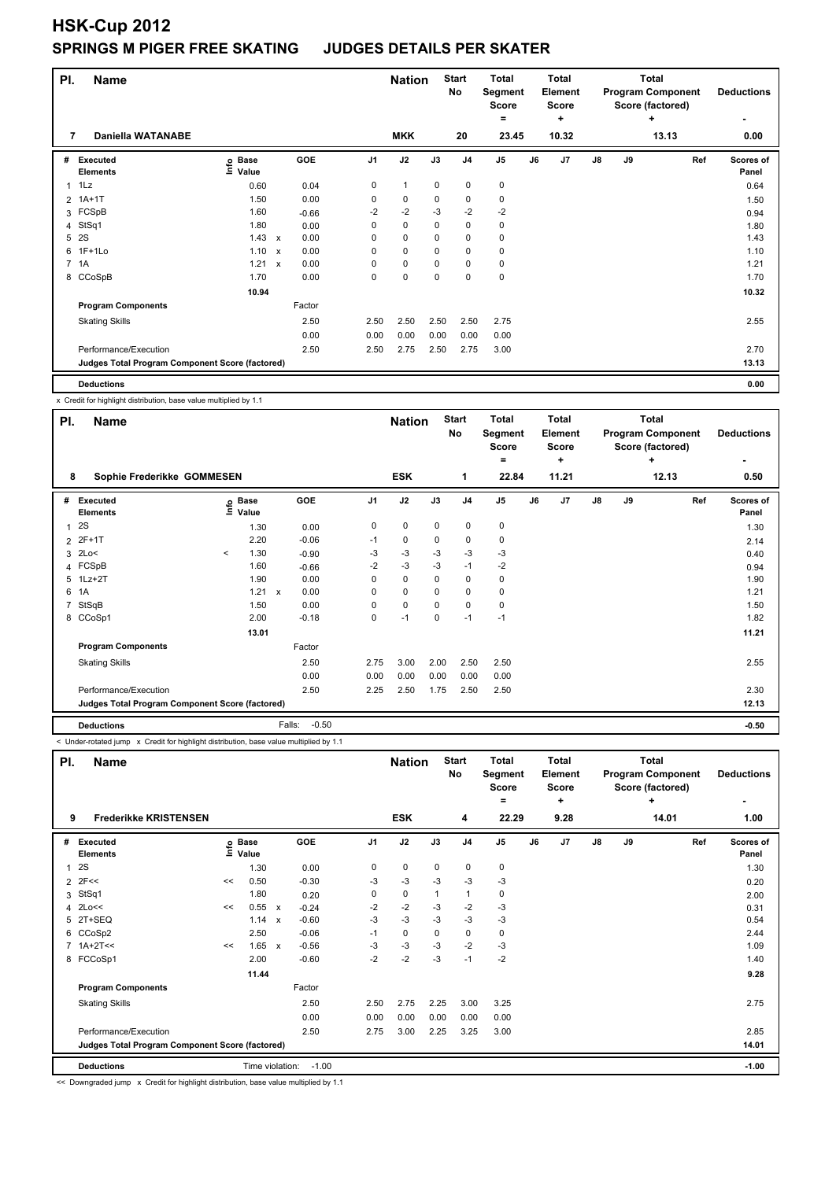| PI. | <b>Name</b>                                     |                            |                           |         |                | <b>Nation</b> |          | <b>Start</b><br>No | <b>Total</b><br>Segment<br>Score<br>۰ |    | <b>Total</b><br>Element<br><b>Score</b><br>٠ |    |    | <b>Total</b><br><b>Program Component</b><br>Score (factored)<br>٠ | <b>Deductions</b>  |
|-----|-------------------------------------------------|----------------------------|---------------------------|---------|----------------|---------------|----------|--------------------|---------------------------------------|----|----------------------------------------------|----|----|-------------------------------------------------------------------|--------------------|
| 7   | <b>Daniella WATANABE</b>                        |                            |                           |         |                | <b>MKK</b>    |          | 20                 | 23.45                                 |    | 10.32                                        |    |    | 13.13                                                             | 0.00               |
| #   | Executed<br><b>Elements</b>                     | e Base<br>⊆ Value<br>Value |                           | GOE     | J <sub>1</sub> | J2            | J3       | J <sub>4</sub>     | J <sub>5</sub>                        | J6 | J <sub>7</sub>                               | J8 | J9 | Ref                                                               | Scores of<br>Panel |
| 1   | 1Lz                                             | 0.60                       |                           | 0.04    | 0              | 1             | 0        | 0                  | 0                                     |    |                                              |    |    |                                                                   | 0.64               |
|     | 2 1A+1T                                         | 1.50                       |                           | 0.00    | 0              | 0             | 0        | 0                  | 0                                     |    |                                              |    |    |                                                                   | 1.50               |
|     | 3 FCSpB                                         | 1.60                       |                           | $-0.66$ | $-2$           | $-2$          | $-3$     | $-2$               | $-2$                                  |    |                                              |    |    |                                                                   | 0.94               |
|     | 4 StSq1                                         | 1.80                       |                           | 0.00    | 0              | $\pmb{0}$     | 0        | 0                  | 0                                     |    |                                              |    |    |                                                                   | 1.80               |
| 5   | 2S                                              | 1.43                       | $\boldsymbol{\mathsf{x}}$ | 0.00    | 0              | 0             | $\Omega$ | 0                  | 0                                     |    |                                              |    |    |                                                                   | 1.43               |
| 6   | $1F+1Lo$                                        | 1.10                       | $\boldsymbol{\mathsf{x}}$ | 0.00    | 0              | $\mathbf 0$   | 0        | $\mathbf 0$        | 0                                     |    |                                              |    |    |                                                                   | 1.10               |
|     | 7 1A                                            | 1.21                       | $\boldsymbol{\mathsf{x}}$ | 0.00    | 0              | $\pmb{0}$     | 0        | $\mathbf 0$        | 0                                     |    |                                              |    |    |                                                                   | 1.21               |
|     | 8 CCoSpB                                        | 1.70                       |                           | 0.00    | 0              | $\pmb{0}$     | 0        | $\mathbf 0$        | $\pmb{0}$                             |    |                                              |    |    |                                                                   | 1.70               |
|     |                                                 | 10.94                      |                           |         |                |               |          |                    |                                       |    |                                              |    |    |                                                                   | 10.32              |
|     | <b>Program Components</b>                       |                            |                           | Factor  |                |               |          |                    |                                       |    |                                              |    |    |                                                                   |                    |
|     | <b>Skating Skills</b>                           |                            |                           | 2.50    | 2.50           | 2.50          | 2.50     | 2.50               | 2.75                                  |    |                                              |    |    |                                                                   | 2.55               |
|     |                                                 |                            |                           | 0.00    | 0.00           | 0.00          | 0.00     | 0.00               | 0.00                                  |    |                                              |    |    |                                                                   |                    |
|     | Performance/Execution                           |                            |                           | 2.50    | 2.50           | 2.75          | 2.50     | 2.75               | 3.00                                  |    |                                              |    |    |                                                                   | 2.70               |
|     | Judges Total Program Component Score (factored) |                            |                           |         |                |               |          |                    |                                       |    |                                              |    |    |                                                                   | 13.13              |
|     | <b>Deductions</b>                               |                            |                           |         |                |               |          |                    |                                       |    |                                              |    |    |                                                                   | 0.00               |

x Credit for highlight distribution, base value multiplied by 1.1

| PI. | <b>Name</b>                                     |         |                      |                      |                | <b>Nation</b> |             | <b>Start</b><br>No | <b>Total</b><br>Segment<br>Score<br>$=$ |    | Total<br>Element<br><b>Score</b><br>٠ |    |    | <b>Total</b><br><b>Program Component</b><br>Score (factored)<br>÷ | <b>Deductions</b>  |
|-----|-------------------------------------------------|---------|----------------------|----------------------|----------------|---------------|-------------|--------------------|-----------------------------------------|----|---------------------------------------|----|----|-------------------------------------------------------------------|--------------------|
| 8   | Sophie Frederikke GOMMESEN                      |         |                      |                      |                | <b>ESK</b>    |             | 1                  | 22.84                                   |    | 11.21                                 |    |    | 12.13                                                             | ٠<br>0.50          |
| #   | Executed<br><b>Elements</b>                     | ١nf٥    | <b>Base</b><br>Value | GOE                  | J <sub>1</sub> | J2            | J3          | J <sub>4</sub>     | J <sub>5</sub>                          | J6 | J7                                    | J8 | J9 | Ref                                                               | Scores of<br>Panel |
|     | 1 <sup>2S</sup>                                 |         | 1.30                 | 0.00                 | 0              | 0             | $\mathbf 0$ | $\pmb{0}$          | 0                                       |    |                                       |    |    |                                                                   | 1.30               |
|     | 2 2F+1T                                         |         | 2.20                 | $-0.06$              | $-1$           | 0             | 0           | 0                  | 0                                       |    |                                       |    |    |                                                                   | 2.14               |
|     | $3$ 2Lo<                                        | $\prec$ | 1.30                 | $-0.90$              | -3             | $-3$          | -3          | $-3$               | -3                                      |    |                                       |    |    |                                                                   | 0.40               |
|     | 4 FCSpB                                         |         | 1.60                 | $-0.66$              | $-2$           | $-3$          | $-3$        | $-1$               | $-2$                                    |    |                                       |    |    |                                                                   | 0.94               |
|     | 5 1Lz+2T                                        |         | 1.90                 | 0.00                 | 0              | 0             | 0           | 0                  | 0                                       |    |                                       |    |    |                                                                   | 1.90               |
|     | 6 1A                                            |         | 1.21                 | 0.00<br>$\mathsf{x}$ | 0              | 0             | 0           | $\mathbf 0$        | 0                                       |    |                                       |    |    |                                                                   | 1.21               |
|     | 7 StSqB                                         |         | 1.50                 | 0.00                 | 0              | 0             | 0           | 0                  | 0                                       |    |                                       |    |    |                                                                   | 1.50               |
|     | 8 CCoSp1                                        |         | 2.00                 | $-0.18$              | 0              | $-1$          | 0           | $-1$               | $-1$                                    |    |                                       |    |    |                                                                   | 1.82               |
|     |                                                 |         | 13.01                |                      |                |               |             |                    |                                         |    |                                       |    |    |                                                                   | 11.21              |
|     | <b>Program Components</b>                       |         |                      | Factor               |                |               |             |                    |                                         |    |                                       |    |    |                                                                   |                    |
|     | <b>Skating Skills</b>                           |         |                      | 2.50                 | 2.75           | 3.00          | 2.00        | 2.50               | 2.50                                    |    |                                       |    |    |                                                                   | 2.55               |
|     |                                                 |         |                      | 0.00                 | 0.00           | 0.00          | 0.00        | 0.00               | 0.00                                    |    |                                       |    |    |                                                                   |                    |
|     | Performance/Execution                           |         |                      | 2.50                 | 2.25           | 2.50          | 1.75        | 2.50               | 2.50                                    |    |                                       |    |    |                                                                   | 2.30               |
|     | Judges Total Program Component Score (factored) |         |                      |                      |                |               |             |                    |                                         |    |                                       |    |    |                                                                   | 12.13              |
|     | <b>Deductions</b>                               |         |                      | $-0.50$<br>Falls:    |                |               |             |                    |                                         |    |                                       |    |    |                                                                   | $-0.50$            |

< Under-rotated jump x Credit for highlight distribution, base value multiplied by 1.1

| PI.            | <b>Name</b>                                     |    |                      |                           |         |                | <b>Nation</b> |      | <b>Start</b><br>No | <b>Total</b><br>Segment<br><b>Score</b><br>= |    | Total<br>Element<br><b>Score</b><br>٠ |    |    | <b>Total</b><br><b>Program Component</b><br>Score (factored)<br>÷ | <b>Deductions</b>  |
|----------------|-------------------------------------------------|----|----------------------|---------------------------|---------|----------------|---------------|------|--------------------|----------------------------------------------|----|---------------------------------------|----|----|-------------------------------------------------------------------|--------------------|
| 9              | <b>Frederikke KRISTENSEN</b>                    |    |                      |                           |         |                | <b>ESK</b>    |      | 4                  | 22.29                                        |    | 9.28                                  |    |    | 14.01                                                             | 1.00               |
| #              | Executed<br><b>Elements</b>                     | ۴ů | <b>Base</b><br>Value |                           | GOE     | J <sub>1</sub> | J2            | J3   | J <sub>4</sub>     | J <sub>5</sub>                               | J6 | J <sub>7</sub>                        | J8 | J9 | Ref                                                               | Scores of<br>Panel |
| $\overline{1}$ | 2S                                              |    | 1.30                 |                           | 0.00    | 0              | $\mathbf 0$   | 0    | 0                  | 0                                            |    |                                       |    |    |                                                                   | 1.30               |
|                | $2$ 2F<<                                        | << | 0.50                 |                           | $-0.30$ | -3             | $-3$          | $-3$ | $-3$               | $-3$                                         |    |                                       |    |    |                                                                   | 0.20               |
| 3              | StSq1                                           |    | 1.80                 |                           | 0.20    | 0              | $\mathbf 0$   | 1    | $\overline{1}$     | 0                                            |    |                                       |    |    |                                                                   | 2.00               |
| 4              | 2Lo<<                                           | << | 0.55                 | $\mathsf{x}$              | $-0.24$ | $-2$           | $-2$          | $-3$ | $-2$               | $-3$                                         |    |                                       |    |    |                                                                   | 0.31               |
|                | 5 2T+SEQ                                        |    | 1.14                 | $\boldsymbol{\mathsf{x}}$ | $-0.60$ | $-3$           | $-3$          | $-3$ | $-3$               | $-3$                                         |    |                                       |    |    |                                                                   | 0.54               |
| 6              | CCoSp2                                          |    | 2.50                 |                           | $-0.06$ | $-1$           | 0             | 0    | 0                  | 0                                            |    |                                       |    |    |                                                                   | 2.44               |
|                | 7 1A+2T<<                                       | << | 1.65                 | $\boldsymbol{\mathsf{x}}$ | $-0.56$ | -3             | $-3$          | $-3$ | $-2$               | $-3$                                         |    |                                       |    |    |                                                                   | 1.09               |
|                | 8 FCCoSp1                                       |    | 2.00                 |                           | $-0.60$ | $-2$           | $-2$          | -3   | $-1$               | -2                                           |    |                                       |    |    |                                                                   | 1.40               |
|                |                                                 |    | 11.44                |                           |         |                |               |      |                    |                                              |    |                                       |    |    |                                                                   | 9.28               |
|                | <b>Program Components</b>                       |    |                      |                           | Factor  |                |               |      |                    |                                              |    |                                       |    |    |                                                                   |                    |
|                | <b>Skating Skills</b>                           |    |                      |                           | 2.50    | 2.50           | 2.75          | 2.25 | 3.00               | 3.25                                         |    |                                       |    |    |                                                                   | 2.75               |
|                |                                                 |    |                      |                           | 0.00    | 0.00           | 0.00          | 0.00 | 0.00               | 0.00                                         |    |                                       |    |    |                                                                   |                    |
|                | Performance/Execution                           |    |                      |                           | 2.50    | 2.75           | 3.00          | 2.25 | 3.25               | 3.00                                         |    |                                       |    |    |                                                                   | 2.85               |
|                | Judges Total Program Component Score (factored) |    |                      |                           |         |                |               |      |                    |                                              |    |                                       |    |    |                                                                   | 14.01              |
|                | <b>Deductions</b>                               |    | Time violation:      |                           | $-1.00$ |                |               |      |                    |                                              |    |                                       |    |    |                                                                   | $-1.00$            |

<< Downgraded jump x Credit for highlight distribution, base value multiplied by 1.1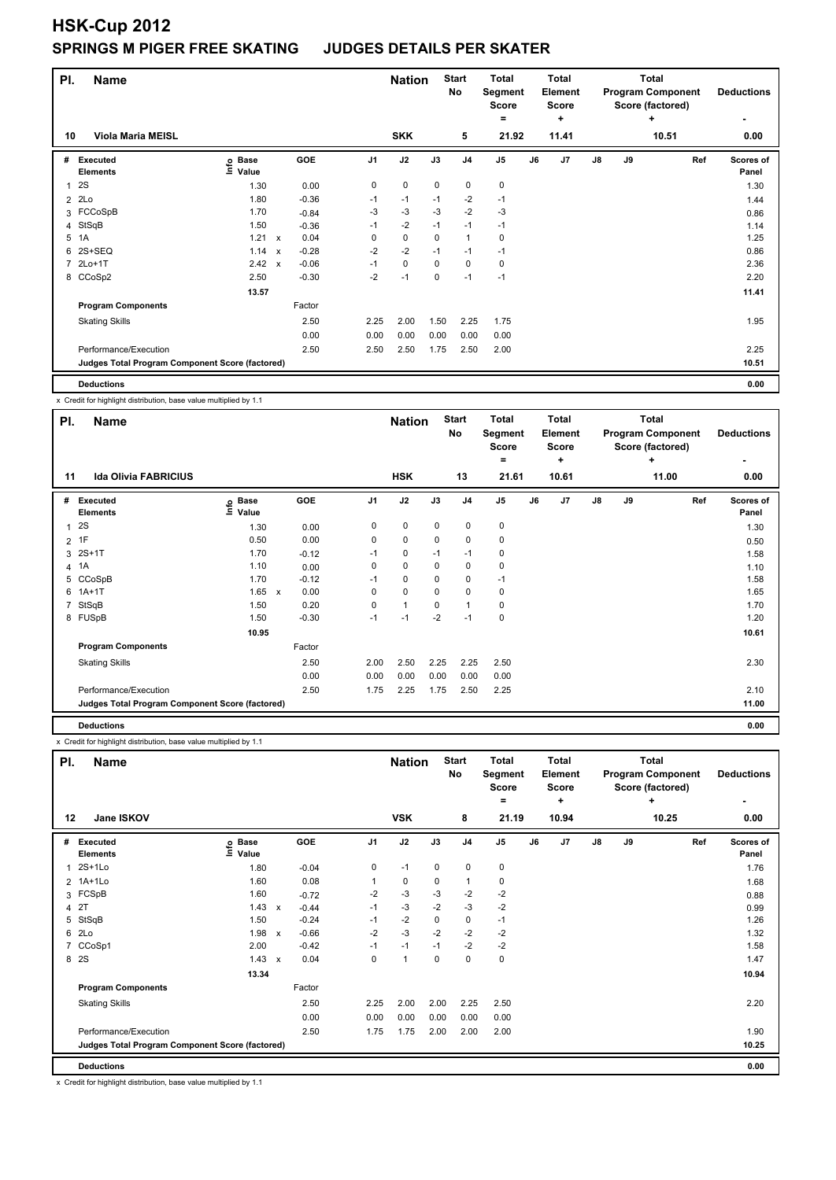| PI.            | <b>Name</b>                                     |                                  |                           |         |                | <b>Nation</b> |             | <b>Start</b><br><b>No</b> | <b>Total</b><br>Segment<br>Score<br>= |    | <b>Total</b><br><b>Element</b><br><b>Score</b><br>÷ |               |    | <b>Total</b><br><b>Program Component</b><br>Score (factored)<br>٠ | <b>Deductions</b>         |
|----------------|-------------------------------------------------|----------------------------------|---------------------------|---------|----------------|---------------|-------------|---------------------------|---------------------------------------|----|-----------------------------------------------------|---------------|----|-------------------------------------------------------------------|---------------------------|
| 10             | <b>Viola Maria MEISL</b>                        |                                  |                           |         |                | <b>SKK</b>    |             | 5                         | 21.92                                 |    | 11.41                                               |               |    | 10.51                                                             | 0.00                      |
| #              | Executed<br><b>Elements</b>                     | <b>Base</b><br>$ln f$ o<br>Value |                           | GOE     | J <sub>1</sub> | J2            | J3          | J <sub>4</sub>            | J <sub>5</sub>                        | J6 | J7                                                  | $\mathsf{J}8$ | J9 | Ref                                                               | <b>Scores of</b><br>Panel |
| 1              | 2S                                              | 1.30                             |                           | 0.00    | 0              | $\pmb{0}$     | $\mathbf 0$ | $\mathbf 0$               | $\pmb{0}$                             |    |                                                     |               |    |                                                                   | 1.30                      |
| $\overline{2}$ | 2Lo                                             | 1.80                             |                           | $-0.36$ | $-1$           | $-1$          | $-1$        | $-2$                      | $-1$                                  |    |                                                     |               |    |                                                                   | 1.44                      |
| 3              | FCCoSpB                                         | 1.70                             |                           | $-0.84$ | -3             | $-3$          | -3          | $-2$                      | $-3$                                  |    |                                                     |               |    |                                                                   | 0.86                      |
| 4              | StSqB                                           | 1.50                             |                           | $-0.36$ | $-1$           | $-2$          | $-1$        | $-1$                      | $-1$                                  |    |                                                     |               |    |                                                                   | 1.14                      |
| 5              | 1A                                              | 1.21 x                           |                           | 0.04    | 0              | $\mathbf 0$   | 0           | $\mathbf{1}$              | 0                                     |    |                                                     |               |    |                                                                   | 1.25                      |
| 6              | 2S+SEQ                                          | 1.14                             | $\boldsymbol{\mathsf{x}}$ | $-0.28$ | $-2$           | $-2$          | $-1$        | $-1$                      | $-1$                                  |    |                                                     |               |    |                                                                   | 0.86                      |
|                | 7 2Lo+1T                                        | 2.42                             | $\boldsymbol{\mathsf{x}}$ | $-0.06$ | $-1$           | 0             | 0           | 0                         | 0                                     |    |                                                     |               |    |                                                                   | 2.36                      |
|                | 8 CCoSp2                                        | 2.50                             |                           | $-0.30$ | $-2$           | $-1$          | 0           | $-1$                      | $-1$                                  |    |                                                     |               |    |                                                                   | 2.20                      |
|                |                                                 | 13.57                            |                           |         |                |               |             |                           |                                       |    |                                                     |               |    |                                                                   | 11.41                     |
|                | <b>Program Components</b>                       |                                  |                           | Factor  |                |               |             |                           |                                       |    |                                                     |               |    |                                                                   |                           |
|                | <b>Skating Skills</b>                           |                                  |                           | 2.50    | 2.25           | 2.00          | 1.50        | 2.25                      | 1.75                                  |    |                                                     |               |    |                                                                   | 1.95                      |
|                |                                                 |                                  |                           | 0.00    | 0.00           | 0.00          | 0.00        | 0.00                      | 0.00                                  |    |                                                     |               |    |                                                                   |                           |
|                | Performance/Execution                           |                                  |                           | 2.50    | 2.50           | 2.50          | 1.75        | 2.50                      | 2.00                                  |    |                                                     |               |    |                                                                   | 2.25                      |
|                | Judges Total Program Component Score (factored) |                                  |                           |         |                |               |             |                           |                                       |    |                                                     |               |    |                                                                   | 10.51                     |
|                | <b>Deductions</b>                               |                                  |                           |         |                |               |             |                           |                                       |    |                                                     |               |    |                                                                   | 0.00                      |

x Credit for highlight distribution, base value multiplied by 1.1

| PI.          | Name                                            |                            |                      |                | <b>Nation</b> |      | <b>Start</b><br>No | <b>Total</b><br>Segment<br><b>Score</b><br>$=$ |    | Total<br>Element<br><b>Score</b><br>÷ |    |    | <b>Total</b><br><b>Program Component</b><br>Score (factored)<br>٠ | <b>Deductions</b>  |
|--------------|-------------------------------------------------|----------------------------|----------------------|----------------|---------------|------|--------------------|------------------------------------------------|----|---------------------------------------|----|----|-------------------------------------------------------------------|--------------------|
| 11           | <b>Ida Olivia FABRICIUS</b>                     |                            |                      |                | <b>HSK</b>    |      | 13                 | 21.61                                          |    | 10.61                                 |    |    | 11.00                                                             | 0.00               |
| #            | Executed<br><b>Elements</b>                     | e Base<br>E Value<br>Value | GOE                  | J <sub>1</sub> | J2            | J3   | J <sub>4</sub>     | J5                                             | J6 | J7                                    | J8 | J9 | Ref                                                               | Scores of<br>Panel |
| $\mathbf{1}$ | 2S                                              | 1.30                       | 0.00                 | 0              | 0             | 0    | $\mathbf 0$        | 0                                              |    |                                       |    |    |                                                                   | 1.30               |
|              | $2$ 1F                                          | 0.50                       | 0.00                 | 0              | 0             | 0    | $\mathbf 0$        | 0                                              |    |                                       |    |    |                                                                   | 0.50               |
|              | 3 2S+1T                                         | 1.70                       | $-0.12$              | $-1$           | 0             | $-1$ | $-1$               | 0                                              |    |                                       |    |    |                                                                   | 1.58               |
|              | 4 1A                                            | 1.10                       | 0.00                 | 0              | 0             | 0    | 0                  | 0                                              |    |                                       |    |    |                                                                   | 1.10               |
|              | 5 CCoSpB                                        | 1.70                       | $-0.12$              | $-1$           | 0             | 0    | 0                  | $-1$                                           |    |                                       |    |    |                                                                   | 1.58               |
| 6            | $1A+1T$                                         | 1.65                       | 0.00<br>$\mathbf{x}$ | 0              | 0             | 0    | 0                  | 0                                              |    |                                       |    |    |                                                                   | 1.65               |
| $7^{\circ}$  | StSqB                                           | 1.50                       | 0.20                 | 0              | 1             | 0    | 1                  | 0                                              |    |                                       |    |    |                                                                   | 1.70               |
|              | 8 FUSpB                                         | 1.50                       | $-0.30$              | $-1$           | $-1$          | $-2$ | $-1$               | 0                                              |    |                                       |    |    |                                                                   | 1.20               |
|              |                                                 | 10.95                      |                      |                |               |      |                    |                                                |    |                                       |    |    |                                                                   | 10.61              |
|              | <b>Program Components</b>                       |                            | Factor               |                |               |      |                    |                                                |    |                                       |    |    |                                                                   |                    |
|              | <b>Skating Skills</b>                           |                            | 2.50                 | 2.00           | 2.50          | 2.25 | 2.25               | 2.50                                           |    |                                       |    |    |                                                                   | 2.30               |
|              |                                                 |                            | 0.00                 | 0.00           | 0.00          | 0.00 | 0.00               | 0.00                                           |    |                                       |    |    |                                                                   |                    |
|              | Performance/Execution                           |                            | 2.50                 | 1.75           | 2.25          | 1.75 | 2.50               | 2.25                                           |    |                                       |    |    |                                                                   | 2.10               |
|              | Judges Total Program Component Score (factored) |                            |                      |                |               |      |                    |                                                |    |                                       |    |    |                                                                   | 11.00              |
|              | <b>Deductions</b>                               |                            |                      |                |               |      |                    |                                                |    |                                       |    |    |                                                                   | 0.00               |

x Credit for highlight distribution, base value multiplied by 1.1

| PI.                     | <b>Name</b>                                     |                           |   |         |                | <b>Nation</b>  |             | <b>Start</b><br><b>No</b> | <b>Total</b><br>Segment<br><b>Score</b><br>= |    | <b>Total</b><br><b>Element</b><br><b>Score</b><br>÷ |    |    | <b>Total</b><br><b>Program Component</b><br>Score (factored)<br>٠ | <b>Deductions</b>  |
|-------------------------|-------------------------------------------------|---------------------------|---|---------|----------------|----------------|-------------|---------------------------|----------------------------------------------|----|-----------------------------------------------------|----|----|-------------------------------------------------------------------|--------------------|
| 12                      | Jane ISKOV                                      |                           |   |         |                | <b>VSK</b>     |             | 8                         | 21.19                                        |    | 10.94                                               |    |    | 10.25                                                             | 0.00               |
| #                       | Executed<br><b>Elements</b>                     | <b>Base</b><br>۴<br>Value |   | GOE     | J <sub>1</sub> | J2             | J3          | J <sub>4</sub>            | J <sub>5</sub>                               | J6 | J <sub>7</sub>                                      | J8 | J9 | Ref                                                               | Scores of<br>Panel |
| 1                       | $2S+1Lo$                                        | 1.80                      |   | $-0.04$ | 0              | $-1$           | $\mathbf 0$ | $\mathbf 0$               | $\pmb{0}$                                    |    |                                                     |    |    |                                                                   | 1.76               |
| $\overline{2}$          | 1A+1Lo                                          | 1.60                      |   | 0.08    | 1              | 0              | 0           | $\mathbf{1}$              | 0                                            |    |                                                     |    |    |                                                                   | 1.68               |
| 3                       | FCSpB                                           | 1.60                      |   | $-0.72$ | $-2$           | $-3$           | $-3$        | $-2$                      | $-2$                                         |    |                                                     |    |    |                                                                   | 0.88               |
| $\overline{\mathbf{4}}$ | 2T                                              | 1.43                      | X | $-0.44$ | $-1$           | $-3$           | $-2$        | $-3$                      | $-2$                                         |    |                                                     |    |    |                                                                   | 0.99               |
| 5                       | StSqB                                           | 1.50                      |   | $-0.24$ | $-1$           | $-2$           | $\mathbf 0$ | 0                         | $-1$                                         |    |                                                     |    |    |                                                                   | 1.26               |
| 6                       | 2Lo                                             | 1.98                      | X | $-0.66$ | $-2$           | $-3$           | $-2$        | $-2$                      | $-2$                                         |    |                                                     |    |    |                                                                   | 1.32               |
| 7                       | CCoSp1                                          | 2.00                      |   | $-0.42$ | $-1$           | $-1$           | $-1$        | $-2$                      | $-2$                                         |    |                                                     |    |    |                                                                   | 1.58               |
| 8                       | <b>2S</b>                                       | 1.43                      | х | 0.04    | 0              | $\overline{1}$ | 0           | $\mathbf 0$               | $\pmb{0}$                                    |    |                                                     |    |    |                                                                   | 1.47               |
|                         |                                                 | 13.34                     |   |         |                |                |             |                           |                                              |    |                                                     |    |    |                                                                   | 10.94              |
|                         | <b>Program Components</b>                       |                           |   | Factor  |                |                |             |                           |                                              |    |                                                     |    |    |                                                                   |                    |
|                         | <b>Skating Skills</b>                           |                           |   | 2.50    | 2.25           | 2.00           | 2.00        | 2.25                      | 2.50                                         |    |                                                     |    |    |                                                                   | 2.20               |
|                         |                                                 |                           |   | 0.00    | 0.00           | 0.00           | 0.00        | 0.00                      | 0.00                                         |    |                                                     |    |    |                                                                   |                    |
|                         | Performance/Execution                           |                           |   | 2.50    | 1.75           | 1.75           | 2.00        | 2.00                      | 2.00                                         |    |                                                     |    |    |                                                                   | 1.90               |
|                         | Judges Total Program Component Score (factored) |                           |   |         |                |                |             |                           |                                              |    |                                                     |    |    |                                                                   | 10.25              |
|                         | <b>Deductions</b>                               |                           |   |         |                |                |             |                           |                                              |    |                                                     |    |    |                                                                   | 0.00               |

x Credit for highlight distribution, base value multiplied by 1.1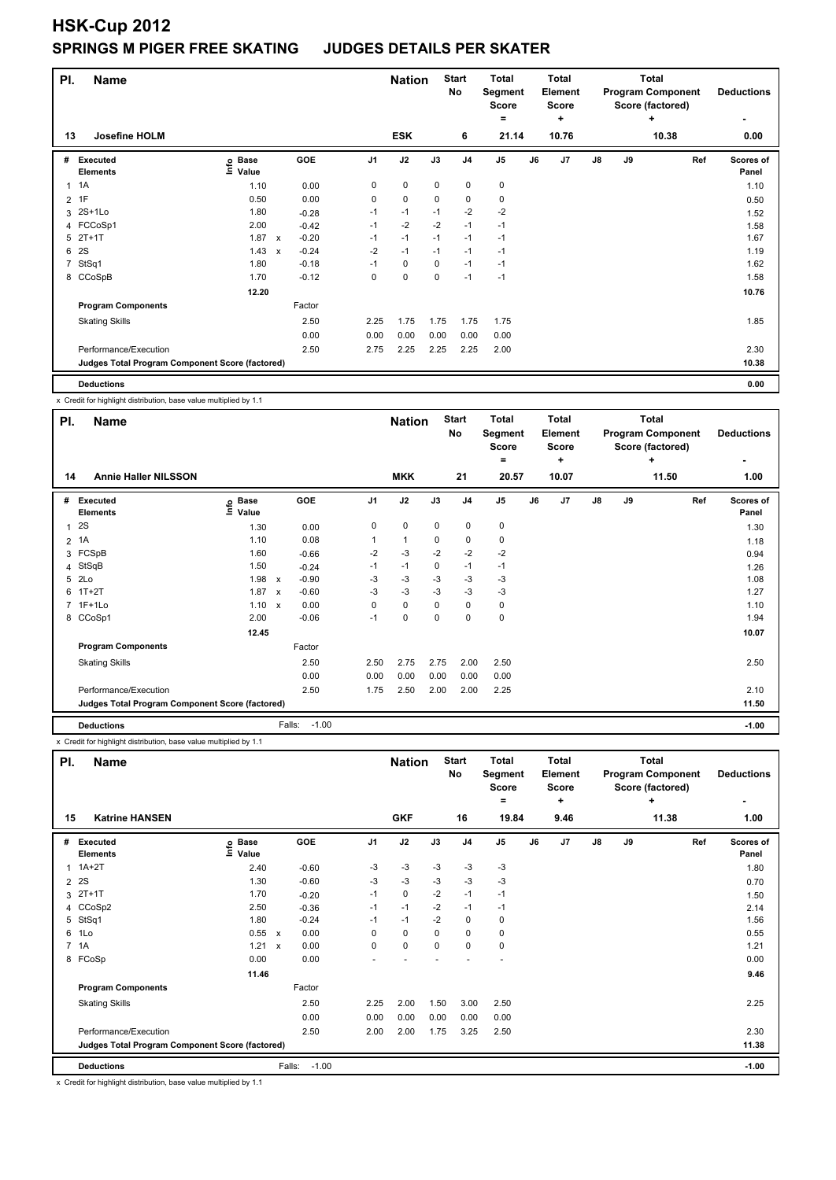# **HSK-Cup 2012 SPRINGS M PIGER FREE SKATI**

| NG |  | <b>JUDGES DETAILS PER SKATER</b> |  |  |  |
|----|--|----------------------------------|--|--|--|
|----|--|----------------------------------|--|--|--|

| PI.            | Name                                            |                              |                           |         | <b>Nation</b>  |             | <b>Start</b><br>No | <b>Total</b><br>Segment<br><b>Score</b><br>= |               | <b>Total</b><br><b>Element</b><br><b>Score</b><br>÷ |       |               | <b>Total</b><br><b>Program Component</b><br>Score (factored)<br>٠ | <b>Deductions</b><br>٠ |                    |
|----------------|-------------------------------------------------|------------------------------|---------------------------|---------|----------------|-------------|--------------------|----------------------------------------------|---------------|-----------------------------------------------------|-------|---------------|-------------------------------------------------------------------|------------------------|--------------------|
| 13             | Josefine HOLM                                   |                              |                           |         |                | <b>ESK</b>  |                    | 6                                            | 21.14         |                                                     | 10.76 |               |                                                                   | 10.38                  | 0.00               |
| #              | Executed<br><b>Elements</b>                     | <b>Base</b><br>lnfo<br>Value |                           | GOE     | J <sub>1</sub> | J2          | J3                 | J <sub>4</sub>                               | $\mathsf{J}5$ | J6                                                  | J7    | $\mathsf{J}8$ | J9                                                                | Ref                    | Scores of<br>Panel |
|                | $1 \t1A$                                        | 1.10                         |                           | 0.00    | 0              | 0           | 0                  | 0                                            | 0             |                                                     |       |               |                                                                   |                        | 1.10               |
|                | $2$ 1F                                          | 0.50                         |                           | 0.00    | 0              | $\mathbf 0$ | $\mathbf 0$        | $\mathbf 0$                                  | 0             |                                                     |       |               |                                                                   |                        | 0.50               |
|                | 3 2S+1Lo                                        | 1.80                         |                           | $-0.28$ | $-1$           | $-1$        | $-1$               | $-2$                                         | $-2$          |                                                     |       |               |                                                                   |                        | 1.52               |
|                | 4 FCCoSp1                                       | 2.00                         |                           | $-0.42$ | $-1$           | $-2$        | $-2$               | $-1$                                         | $-1$          |                                                     |       |               |                                                                   |                        | 1.58               |
|                | $5$ $2T+1T$                                     | 1.87                         | $\mathsf{x}$              | $-0.20$ | $-1$           | $-1$        | $-1$               | $-1$                                         | $-1$          |                                                     |       |               |                                                                   |                        | 1.67               |
| 6              | <b>2S</b>                                       | 1.43                         | $\boldsymbol{\mathsf{x}}$ | $-0.24$ | $-2$           | $-1$        | $-1$               | $-1$                                         | $-1$          |                                                     |       |               |                                                                   |                        | 1.19               |
| $\overline{7}$ | StSq1                                           | 1.80                         |                           | $-0.18$ | $-1$           | 0           | 0                  | $-1$                                         | $-1$          |                                                     |       |               |                                                                   |                        | 1.62               |
|                | 8 CCoSpB                                        | 1.70                         |                           | $-0.12$ | 0              | $\mathbf 0$ | $\mathbf 0$        | $-1$                                         | $-1$          |                                                     |       |               |                                                                   |                        | 1.58               |
|                |                                                 | 12.20                        |                           |         |                |             |                    |                                              |               |                                                     |       |               |                                                                   |                        | 10.76              |
|                | <b>Program Components</b>                       |                              |                           | Factor  |                |             |                    |                                              |               |                                                     |       |               |                                                                   |                        |                    |
|                | <b>Skating Skills</b>                           |                              |                           | 2.50    | 2.25           | 1.75        | 1.75               | 1.75                                         | 1.75          |                                                     |       |               |                                                                   |                        | 1.85               |
|                |                                                 |                              |                           | 0.00    | 0.00           | 0.00        | 0.00               | 0.00                                         | 0.00          |                                                     |       |               |                                                                   |                        |                    |
|                | Performance/Execution                           |                              |                           | 2.50    | 2.75           | 2.25        | 2.25               | 2.25                                         | 2.00          |                                                     |       |               |                                                                   |                        | 2.30               |
|                | Judges Total Program Component Score (factored) |                              |                           |         |                |             |                    |                                              |               |                                                     |       |               |                                                                   |                        | 10.38              |
|                | <b>Deductions</b>                               |                              |                           |         |                |             |                    |                                              |               |                                                     |       |               |                                                                   |                        | 0.00               |

x Credit for highlight distribution, base value multiplied by 1.1

| PI.          | <b>Name</b>                                     |                            |                           |         | <b>Nation</b>  |            | <b>Start</b><br>No | <b>Total</b><br>Segment<br><b>Score</b><br>$=$ |                | <b>Total</b><br>Element<br><b>Score</b><br>٠ |       |               | <b>Total</b><br><b>Program Component</b><br>Score (factored)<br>٠ | <b>Deductions</b><br>٠ |                           |
|--------------|-------------------------------------------------|----------------------------|---------------------------|---------|----------------|------------|--------------------|------------------------------------------------|----------------|----------------------------------------------|-------|---------------|-------------------------------------------------------------------|------------------------|---------------------------|
| 14           | <b>Annie Haller NILSSON</b>                     |                            |                           |         |                | <b>MKK</b> |                    | 21                                             | 20.57          |                                              | 10.07 |               |                                                                   | 11.50                  | 1.00                      |
| #            | Executed<br><b>Elements</b>                     | e Base<br>E Value<br>Value |                           | GOE     | J <sub>1</sub> | J2         | J3                 | J <sub>4</sub>                                 | J <sub>5</sub> | J6                                           | J7    | $\mathsf{J}8$ | J9                                                                | Ref                    | <b>Scores of</b><br>Panel |
| $\mathbf{1}$ | 2S                                              | 1.30                       |                           | 0.00    | 0              | 0          | 0                  | $\mathbf 0$                                    | 0              |                                              |       |               |                                                                   |                        | 1.30                      |
|              | 2 1A                                            | 1.10                       |                           | 0.08    | 1              | 1          | $\mathbf 0$        | 0                                              | 0              |                                              |       |               |                                                                   |                        | 1.18                      |
| 3            | FCSpB                                           | 1.60                       |                           | $-0.66$ | $-2$           | $-3$       | $-2$               | $-2$                                           | $-2$           |                                              |       |               |                                                                   |                        | 0.94                      |
| 4            | StSqB                                           | 1.50                       |                           | $-0.24$ | $-1$           | $-1$       | $\mathbf 0$        | $-1$                                           | $-1$           |                                              |       |               |                                                                   |                        | 1.26                      |
|              | 5 2Lo                                           | 1.98                       | $\mathsf{x}$              | $-0.90$ | $-3$           | $-3$       | $-3$               | $-3$                                           | $-3$           |                                              |       |               |                                                                   |                        | 1.08                      |
| 6            | $1T+2T$                                         | 1.87                       | $\boldsymbol{\mathsf{x}}$ | $-0.60$ | $-3$           | $-3$       | $-3$               | $-3$                                           | $-3$           |                                              |       |               |                                                                   |                        | 1.27                      |
|              | 7 1F+1Lo                                        | 1.10 x                     |                           | 0.00    | 0              | 0          | $\mathbf 0$        | 0                                              | 0              |                                              |       |               |                                                                   |                        | 1.10                      |
|              | 8 CCoSp1                                        | 2.00                       |                           | $-0.06$ | $-1$           | 0          | $\Omega$           | 0                                              | 0              |                                              |       |               |                                                                   |                        | 1.94                      |
|              |                                                 | 12.45                      |                           |         |                |            |                    |                                                |                |                                              |       |               |                                                                   |                        | 10.07                     |
|              | <b>Program Components</b>                       |                            |                           | Factor  |                |            |                    |                                                |                |                                              |       |               |                                                                   |                        |                           |
|              | <b>Skating Skills</b>                           |                            |                           | 2.50    | 2.50           | 2.75       | 2.75               | 2.00                                           | 2.50           |                                              |       |               |                                                                   |                        | 2.50                      |
|              |                                                 |                            |                           | 0.00    | 0.00           | 0.00       | 0.00               | 0.00                                           | 0.00           |                                              |       |               |                                                                   |                        |                           |
|              | Performance/Execution                           |                            |                           | 2.50    | 1.75           | 2.50       | 2.00               | 2.00                                           | 2.25           |                                              |       |               |                                                                   |                        | 2.10                      |
|              | Judges Total Program Component Score (factored) |                            |                           |         |                |            |                    |                                                |                |                                              |       |               |                                                                   |                        | 11.50                     |
|              | <b>Deductions</b>                               |                            | Falls:                    | $-1.00$ |                |            |                    |                                                |                |                                              |       |               |                                                                   |                        | $-1.00$                   |

x Credit for highlight distribution, base value multiplied by 1.1

| PI.            | <b>Name</b>                                     |                              |                           |         |                | <b>Nation</b> |             | <b>Start</b><br>No | <b>Total</b><br>Segment<br><b>Score</b><br>= |    | <b>Total</b><br><b>Element</b><br><b>Score</b><br>÷ |    | <b>Total</b><br><b>Program Component</b><br>Score (factored) | <b>Deductions</b><br>۰ |                           |
|----------------|-------------------------------------------------|------------------------------|---------------------------|---------|----------------|---------------|-------------|--------------------|----------------------------------------------|----|-----------------------------------------------------|----|--------------------------------------------------------------|------------------------|---------------------------|
| 15             | <b>Katrine HANSEN</b>                           |                              |                           |         |                | <b>GKF</b>    |             | 16                 | 19.84                                        |    | 9.46                                                |    |                                                              | 11.38                  | 1.00                      |
| #              | Executed<br><b>Elements</b>                     | <b>Base</b><br>lnfo<br>Value |                           | GOE     | J <sub>1</sub> | J2            | J3          | J <sub>4</sub>     | J <sub>5</sub>                               | J6 | J7                                                  | J8 | J9                                                           | Ref                    | <b>Scores of</b><br>Panel |
| 1              | $1A+2T$                                         | 2.40                         |                           | $-0.60$ | -3             | $-3$          | $-3$        | $-3$               | $-3$                                         |    |                                                     |    |                                                              |                        | 1.80                      |
| $\overline{2}$ | 2S                                              | 1.30                         |                           | $-0.60$ | -3             | $-3$          | -3          | -3                 | $-3$                                         |    |                                                     |    |                                                              |                        | 0.70                      |
|                | $3$ 2T+1T                                       | 1.70                         |                           | $-0.20$ | $-1$           | $\mathbf 0$   | $-2$        | $-1$               | $-1$                                         |    |                                                     |    |                                                              |                        | 1.50                      |
|                | 4 CCoSp2                                        | 2.50                         |                           | $-0.36$ | $-1$           | $-1$          | $-2$        | $-1$               | $-1$                                         |    |                                                     |    |                                                              |                        | 2.14                      |
| 5              | StSq1                                           | 1.80                         |                           | $-0.24$ | $-1$           | $-1$          | $-2$        | 0                  | 0                                            |    |                                                     |    |                                                              |                        | 1.56                      |
| 6              | 1Lo                                             | 0.55                         | $\mathsf{x}$              | 0.00    | 0              | 0             | 0           | 0                  | 0                                            |    |                                                     |    |                                                              |                        | 0.55                      |
| $\overline{7}$ | 1A                                              | 1.21                         | $\boldsymbol{\mathsf{x}}$ | 0.00    | 0              | $\mathbf 0$   | $\mathbf 0$ | $\mathbf 0$        | $\mathbf 0$                                  |    |                                                     |    |                                                              |                        | 1.21                      |
|                | 8 FCoSp                                         | 0.00                         |                           | 0.00    |                |               |             |                    |                                              |    |                                                     |    |                                                              |                        | 0.00                      |
|                |                                                 | 11.46                        |                           |         |                |               |             |                    |                                              |    |                                                     |    |                                                              |                        | 9.46                      |
|                | <b>Program Components</b>                       |                              |                           | Factor  |                |               |             |                    |                                              |    |                                                     |    |                                                              |                        |                           |
|                | <b>Skating Skills</b>                           |                              |                           | 2.50    | 2.25           | 2.00          | 1.50        | 3.00               | 2.50                                         |    |                                                     |    |                                                              |                        | 2.25                      |
|                |                                                 |                              |                           | 0.00    | 0.00           | 0.00          | 0.00        | 0.00               | 0.00                                         |    |                                                     |    |                                                              |                        |                           |
|                | Performance/Execution                           |                              |                           | 2.50    | 2.00           | 2.00          | 1.75        | 3.25               | 2.50                                         |    |                                                     |    |                                                              |                        | 2.30                      |
|                | Judges Total Program Component Score (factored) |                              |                           |         |                |               |             |                    |                                              |    |                                                     |    |                                                              |                        | 11.38                     |
|                | <b>Deductions</b>                               |                              | Falls:                    | $-1.00$ |                |               |             |                    |                                              |    |                                                     |    |                                                              |                        | $-1.00$                   |

x Credit for highlight distribution, base value multiplied by 1.1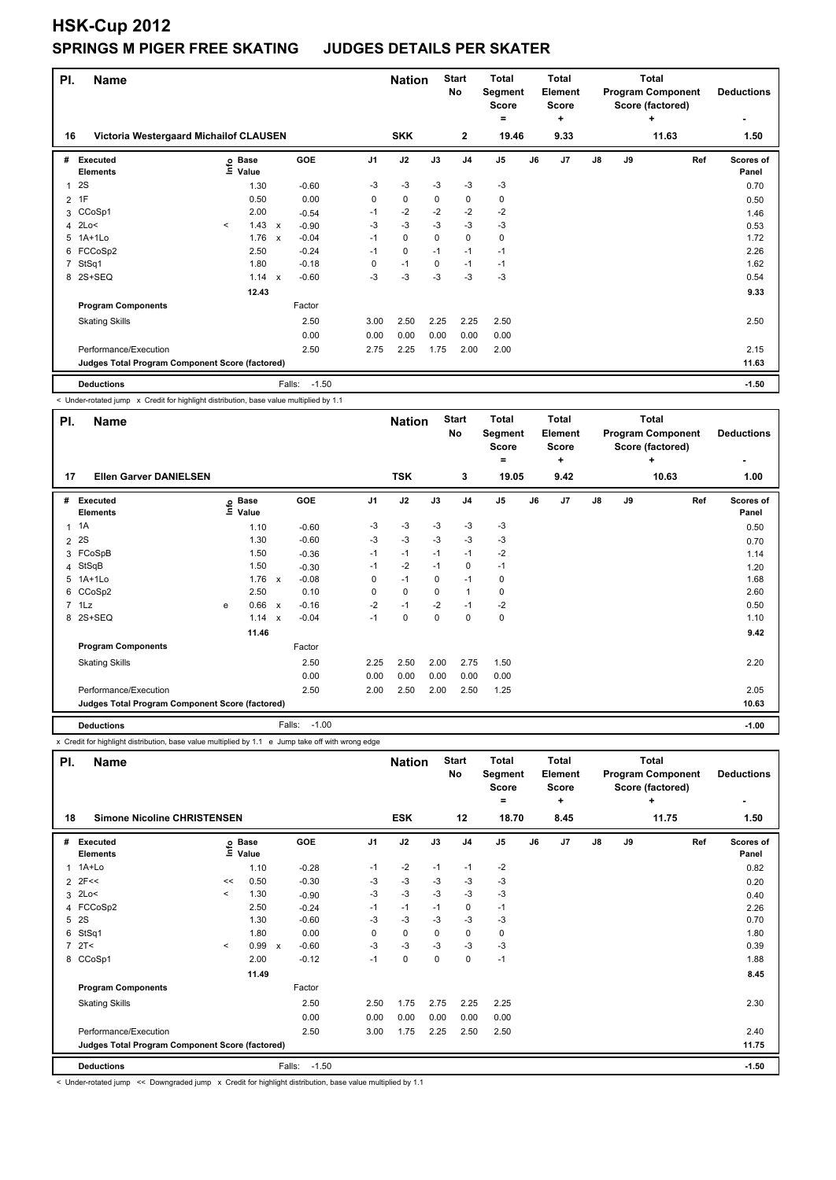| PI.            | <b>Name</b>                                     |         |                            |              |                   |                | <b>Nation</b> |          | <b>Start</b><br><b>No</b> | <b>Total</b><br>Segment<br><b>Score</b><br>= |    | Total<br><b>Element</b><br><b>Score</b><br>÷ |    |    | Total<br><b>Program Component</b><br>Score (factored)<br>٠ | <b>Deductions</b>         |
|----------------|-------------------------------------------------|---------|----------------------------|--------------|-------------------|----------------|---------------|----------|---------------------------|----------------------------------------------|----|----------------------------------------------|----|----|------------------------------------------------------------|---------------------------|
| 16             | Victoria Westergaard Michailof CLAUSEN          |         |                            |              |                   |                | <b>SKK</b>    |          | $\overline{2}$            | 19.46                                        |    | 9.33                                         |    |    | 11.63                                                      | 1.50                      |
| #              | <b>Executed</b><br><b>Elements</b>              |         | e Base<br>⊆ Value<br>Value |              | GOE               | J <sub>1</sub> | J2            | J3       | J <sub>4</sub>            | J <sub>5</sub>                               | J6 | J <sub>7</sub>                               | J8 | J9 | Ref                                                        | <b>Scores of</b><br>Panel |
| 1              | 2S                                              |         | 1.30                       |              | $-0.60$           | -3             | $-3$          | $-3$     | $-3$                      | $-3$                                         |    |                                              |    |    |                                                            | 0.70                      |
| 2              | 1F                                              |         | 0.50                       |              | 0.00              | 0              | $\mathbf 0$   | 0        | $\mathbf 0$               | 0                                            |    |                                              |    |    |                                                            | 0.50                      |
| 3              | CCoSp1                                          |         | 2.00                       |              | $-0.54$           | $-1$           | $-2$          | $-2$     | $-2$                      | $-2$                                         |    |                                              |    |    |                                                            | 1.46                      |
| 4              | 2Lo<                                            | $\prec$ | $1.43 \times$              |              | $-0.90$           | -3             | $-3$          | $-3$     | $-3$                      | $-3$                                         |    |                                              |    |    |                                                            | 0.53                      |
| 5              | $1A+1Lo$                                        |         | 1.76                       | $\mathsf{x}$ | $-0.04$           | $-1$           | $\mathbf 0$   | $\Omega$ | $\mathbf 0$               | 0                                            |    |                                              |    |    |                                                            | 1.72                      |
| 6              | FCCoSp2                                         |         | 2.50                       |              | $-0.24$           | $-1$           | 0             | $-1$     | $-1$                      | $-1$                                         |    |                                              |    |    |                                                            | 2.26                      |
| $\overline{7}$ | StSq1                                           |         | 1.80                       |              | $-0.18$           | 0              | $-1$          | 0        | $-1$                      | $-1$                                         |    |                                              |    |    |                                                            | 1.62                      |
| 8              | 2S+SEQ                                          |         | 1.14                       | $\mathsf{x}$ | $-0.60$           | $-3$           | $-3$          | $-3$     | $-3$                      | $-3$                                         |    |                                              |    |    |                                                            | 0.54                      |
|                |                                                 |         | 12.43                      |              |                   |                |               |          |                           |                                              |    |                                              |    |    |                                                            | 9.33                      |
|                | <b>Program Components</b>                       |         |                            |              | Factor            |                |               |          |                           |                                              |    |                                              |    |    |                                                            |                           |
|                | <b>Skating Skills</b>                           |         |                            |              | 2.50              | 3.00           | 2.50          | 2.25     | 2.25                      | 2.50                                         |    |                                              |    |    |                                                            | 2.50                      |
|                |                                                 |         |                            |              | 0.00              | 0.00           | 0.00          | 0.00     | 0.00                      | 0.00                                         |    |                                              |    |    |                                                            |                           |
|                | Performance/Execution                           |         |                            |              | 2.50              | 2.75           | 2.25          | 1.75     | 2.00                      | 2.00                                         |    |                                              |    |    |                                                            | 2.15                      |
|                | Judges Total Program Component Score (factored) |         |                            |              |                   |                |               |          |                           |                                              |    | 11.63                                        |    |    |                                                            |                           |
|                | <b>Deductions</b>                               |         |                            |              | $-1.50$<br>Falls: |                |               |          |                           |                                              |    |                                              |    |    |                                                            | $-1.50$                   |

< Under-rotated jump x Credit for highlight distribution, base value multiplied by 1.1

| PI. | <b>Name</b>                                     |                            |                           |                   |                | <b>Nation</b> |      | <b>Start</b><br>No | <b>Total</b><br>Segment<br><b>Score</b><br>$\equiv$ |    | <b>Total</b><br>Element<br><b>Score</b><br>٠ |               |    | Total<br><b>Program Component</b><br>Score (factored)<br>÷ | <b>Deductions</b>  |
|-----|-------------------------------------------------|----------------------------|---------------------------|-------------------|----------------|---------------|------|--------------------|-----------------------------------------------------|----|----------------------------------------------|---------------|----|------------------------------------------------------------|--------------------|
| 17  | <b>Ellen Garver DANIELSEN</b>                   |                            |                           |                   |                | <b>TSK</b>    |      | 3                  | 19.05                                               |    | 9.42                                         |               |    | 10.63                                                      | 1.00               |
| #   | Executed<br><b>Elements</b>                     | e Base<br>E Value<br>Value |                           | GOE               | J <sub>1</sub> | J2            | J3   | J <sub>4</sub>     | J <sub>5</sub>                                      | J6 | J7                                           | $\mathsf{J}8$ | J9 | Ref                                                        | Scores of<br>Panel |
|     | $1 \t1A$                                        | 1.10                       |                           | $-0.60$           | $-3$           | $-3$          | $-3$ | $-3$               | $-3$                                                |    |                                              |               |    |                                                            | 0.50               |
|     | 2 2 S                                           | 1.30                       |                           | $-0.60$           | $-3$           | $-3$          | $-3$ | $-3$               | $-3$                                                |    |                                              |               |    |                                                            | 0.70               |
| 3   | FCoSpB                                          | 1.50                       |                           | $-0.36$           | $-1$           | $-1$          | $-1$ | $-1$               | $-2$                                                |    |                                              |               |    |                                                            | 1.14               |
|     | 4 StSqB                                         | 1.50                       |                           | $-0.30$           | $-1$           | $-2$          | $-1$ | 0                  | $-1$                                                |    |                                              |               |    |                                                            | 1.20               |
|     | 5 1A+1Lo                                        | 1.76                       | $\boldsymbol{\mathsf{x}}$ | $-0.08$           | 0              | $-1$          | 0    | $-1$               | 0                                                   |    |                                              |               |    |                                                            | 1.68               |
|     | 6 CCoSp2                                        | 2.50                       |                           | 0.10              | 0              | 0             | 0    | $\mathbf{1}$       | 0                                                   |    |                                              |               |    |                                                            | 2.60               |
|     | 7 1Lz                                           | 0.66<br>e                  | $\mathbf{x}$              | $-0.16$           | $-2$           | $-1$          | $-2$ | $-1$               | $-2$                                                |    |                                              |               |    |                                                            | 0.50               |
|     | 8 2S+SEQ                                        | 1.14                       | $\boldsymbol{\mathsf{x}}$ | $-0.04$           | $-1$           | 0             | 0    | 0                  | 0                                                   |    |                                              |               |    |                                                            | 1.10               |
|     |                                                 | 11.46                      |                           |                   |                |               |      |                    |                                                     |    |                                              |               |    |                                                            | 9.42               |
|     | <b>Program Components</b>                       |                            |                           | Factor            |                |               |      |                    |                                                     |    |                                              |               |    |                                                            |                    |
|     | <b>Skating Skills</b>                           |                            |                           | 2.50              | 2.25           | 2.50          | 2.00 | 2.75               | 1.50                                                |    |                                              |               |    |                                                            | 2.20               |
|     |                                                 |                            |                           | 0.00              | 0.00           | 0.00          | 0.00 | 0.00               | 0.00                                                |    |                                              |               |    |                                                            |                    |
|     | Performance/Execution                           |                            |                           | 2.50              | 2.00           | 2.50          | 2.00 | 2.50               | 1.25                                                |    |                                              |               |    |                                                            | 2.05               |
|     | Judges Total Program Component Score (factored) |                            |                           |                   |                |               |      |                    |                                                     |    |                                              |               |    |                                                            | 10.63              |
|     | <b>Deductions</b>                               |                            |                           | $-1.00$<br>Falls: |                |               |      |                    |                                                     |    |                                              |               |    |                                                            | $-1.00$            |

x Credit for highlight distribution, base value multiplied by 1.1 e Jump take off with wrong edge

| PI.            | <b>Name</b>                                     |         |                                  |                                      |                | <b>Nation</b> |             | <b>Start</b><br>No | <b>Total</b><br>Segment<br><b>Score</b><br>۰ |    | Total<br>Element<br><b>Score</b><br>÷ |       |      | <b>Total</b><br><b>Program Component</b><br>Score (factored)<br>٠ | <b>Deductions</b>         |
|----------------|-------------------------------------------------|---------|----------------------------------|--------------------------------------|----------------|---------------|-------------|--------------------|----------------------------------------------|----|---------------------------------------|-------|------|-------------------------------------------------------------------|---------------------------|
| 18             | <b>Simone Nicoline CHRISTENSEN</b>              |         |                                  | <b>ESK</b>                           |                | 12            | 18.70       |                    | 8.45                                         |    |                                       | 11.75 | 1.50 |                                                                   |                           |
| #              | Executed<br><b>Elements</b>                     |         | <b>Base</b><br>e Base<br>⊑ Value | GOE                                  | J <sub>1</sub> | J2            | J3          | J <sub>4</sub>     | J <sub>5</sub>                               | J6 | J <sub>7</sub>                        | J8    | J9   | Ref                                                               | <b>Scores of</b><br>Panel |
| 1              | 1A+Lo                                           |         | 1.10                             | $-0.28$                              | $-1$           | $-2$          | $-1$        | $-1$               | $-2$                                         |    |                                       |       |      |                                                                   | 0.82                      |
| $\overline{2}$ | 2F<<                                            | <<      | 0.50                             | $-0.30$                              | -3             | $-3$          | -3          | -3                 | $-3$                                         |    |                                       |       |      |                                                                   | 0.20                      |
| 3              | 2Lo<                                            | $\prec$ | 1.30                             | $-0.90$                              | $-3$           | $-3$          | $-3$        | $-3$               | $-3$                                         |    |                                       |       |      |                                                                   | 0.40                      |
| 4              | FCCoSp2                                         |         | 2.50                             | $-0.24$                              | $-1$           | $-1$          | $-1$        | $\mathbf 0$        | $-1$                                         |    |                                       |       |      |                                                                   | 2.26                      |
| 5              | 2S                                              |         | 1.30                             | $-0.60$                              | $-3$           | $-3$          | $-3$        | $-3$               | $-3$                                         |    |                                       |       |      |                                                                   | 0.70                      |
| 6              | StSq1                                           |         | 1.80                             | 0.00                                 | 0              | 0             | 0           | 0                  | 0                                            |    |                                       |       |      |                                                                   | 1.80                      |
| $\overline{7}$ | 2T<                                             | $\prec$ | 0.99                             | $-0.60$<br>$\boldsymbol{\mathsf{x}}$ | $-3$           | $-3$          | $-3$        | $-3$               | $-3$                                         |    |                                       |       |      |                                                                   | 0.39                      |
|                | 8 CCoSp1                                        |         | 2.00                             | $-0.12$                              | $-1$           | $\pmb{0}$     | $\mathbf 0$ | $\mathbf 0$        | $-1$                                         |    |                                       |       |      |                                                                   | 1.88                      |
|                |                                                 |         | 11.49                            |                                      |                |               |             |                    |                                              |    |                                       |       |      |                                                                   | 8.45                      |
|                | <b>Program Components</b>                       |         |                                  | Factor                               |                |               |             |                    |                                              |    |                                       |       |      |                                                                   |                           |
|                | <b>Skating Skills</b>                           |         |                                  | 2.50                                 | 2.50           | 1.75          | 2.75        | 2.25               | 2.25                                         |    |                                       |       |      |                                                                   | 2.30                      |
|                |                                                 |         |                                  | 0.00                                 | 0.00           | 0.00          | 0.00        | 0.00               | 0.00                                         |    |                                       |       |      |                                                                   |                           |
|                | Performance/Execution                           |         |                                  | 2.50                                 | 3.00           | 1.75          | 2.25        | 2.50               | 2.50                                         |    |                                       |       |      |                                                                   | 2.40                      |
|                | Judges Total Program Component Score (factored) |         |                                  |                                      |                |               |             |                    |                                              |    |                                       |       |      |                                                                   | 11.75                     |
|                | <b>Deductions</b>                               |         |                                  | Falls:<br>$-1.50$                    |                |               |             |                    |                                              |    |                                       |       |      |                                                                   | $-1.50$                   |

< Under-rotated jump << Downgraded jump x Credit for highlight distribution, base value multiplied by 1.1